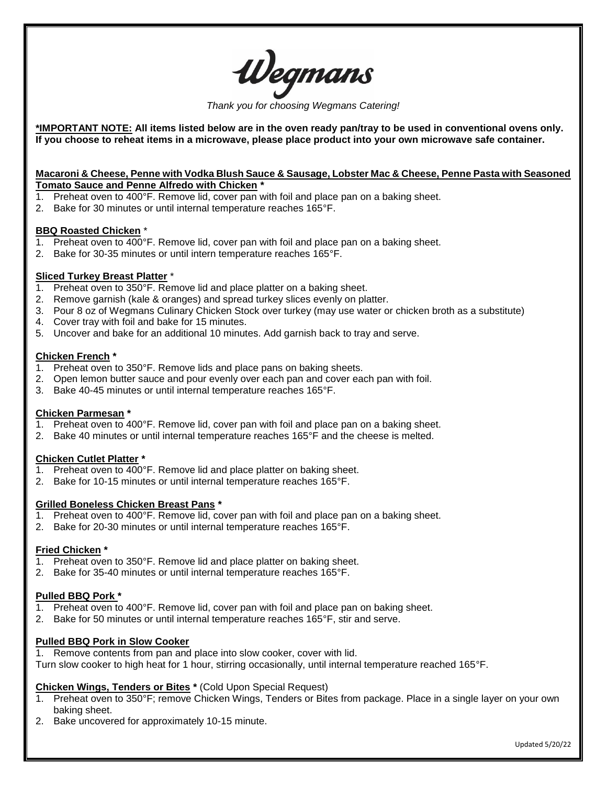*Thank you for choosing Wegmans Catering!*

**\*IMPORTANT NOTE: All items listed below are in the oven ready pan/tray to be used in conventional ovens only. If you choose to reheat items in a microwave, please place product into your own microwave safe container.**

#### **Macaroni & Cheese, Penne with Vodka Blush Sauce & Sausage, Lobster Mac & Cheese, Penne Pasta with Seasoned Tomato Sauce and Penne Alfredo with Chicken \***

- 1. Preheat oven to 400°F. Remove lid, cover pan with foil and place pan on a baking sheet.
- 2. Bake for 30 minutes or until internal temperature reaches 165°F.

### **BBQ Roasted Chicken** \*

- 1. Preheat oven to 400°F. Remove lid, cover pan with foil and place pan on a baking sheet.
- 2. Bake for 30-35 minutes or until intern temperature reaches 165°F.

### **Sliced Turkey Breast Platter** \*

- 1. Preheat oven to 350°F. Remove lid and place platter on a baking sheet.
- 2. Remove garnish (kale & oranges) and spread turkey slices evenly on platter.
- 3. Pour 8 oz of Wegmans Culinary Chicken Stock over turkey (may use water or chicken broth as a substitute)
- 4. Cover tray with foil and bake for 15 minutes.
- 5. Uncover and bake for an additional 10 minutes. Add garnish back to tray and serve.

#### **Chicken French \***

- 1. Preheat oven to 350°F. Remove lids and place pans on baking sheets.
- 2. Open lemon butter sauce and pour evenly over each pan and cover each pan with foil.
- 3. Bake 40-45 minutes or until internal temperature reaches 165°F.

### **Chicken Parmesan \***

- 1. Preheat oven to 400°F. Remove lid, cover pan with foil and place pan on a baking sheet.
- 2. Bake 40 minutes or until internal temperature reaches 165°F and the cheese is melted.

### **Chicken Cutlet Platter \***

- 1. Preheat oven to 400°F. Remove lid and place platter on baking sheet.
- 2. Bake for 10-15 minutes or until internal temperature reaches 165°F.

### **Grilled Boneless Chicken Breast Pans \***

- 1. Preheat oven to 400°F. Remove lid, cover pan with foil and place pan on a baking sheet.
- 2. Bake for 20-30 minutes or until internal temperature reaches 165°F.

### **Fried Chicken \***

- 1. Preheat oven to 350°F. Remove lid and place platter on baking sheet.
- 2. Bake for 35-40 minutes or until internal temperature reaches 165°F.

### **Pulled BBQ Pork \***

- 1. Preheat oven to 400°F. Remove lid, cover pan with foil and place pan on baking sheet.
- 2. Bake for 50 minutes or until internal temperature reaches 165°F, stir and serve.

### **Pulled BBQ Pork in Slow Cooker**

1. Remove contents from pan and place into slow cooker, cover with lid.

Turn slow cooker to high heat for 1 hour, stirring occasionally, until internal temperature reached 165°F.

## **Chicken Wings, Tenders or Bites \*** (Cold Upon Special Request)

- 1. Preheat oven to 350°F; remove Chicken Wings, Tenders or Bites from package. Place in a single layer on your own baking sheet.
- 2. Bake uncovered for approximately 10-15 minute.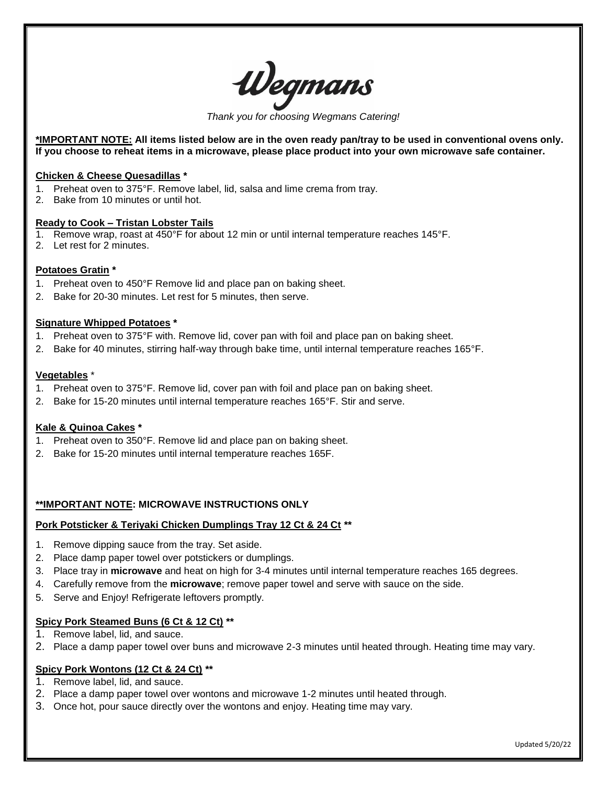

*Thank you for choosing Wegmans Catering!*

**\*IMPORTANT NOTE: All items listed below are in the oven ready pan/tray to be used in conventional ovens only. If you choose to reheat items in a microwave, please place product into your own microwave safe container.**

#### **Chicken & Cheese Quesadillas \***

- 1. Preheat oven to 375°F. Remove label, lid, salsa and lime crema from tray.
- 2. Bake from 10 minutes or until hot.

### **Ready to Cook – Tristan Lobster Tails**

- 1. Remove wrap, roast at 450°F for about 12 min or until internal temperature reaches 145°F.
- 2. Let rest for 2 minutes.

### **Potatoes Gratin \***

- 1. Preheat oven to 450°F Remove lid and place pan on baking sheet.
- 2. Bake for 20-30 minutes. Let rest for 5 minutes, then serve.

#### **Signature Whipped Potatoes \***

- 1. Preheat oven to 375°F with. Remove lid, cover pan with foil and place pan on baking sheet.
- 2. Bake for 40 minutes, stirring half-way through bake time, until internal temperature reaches 165°F.

### **Vegetables** \*

- 1. Preheat oven to 375°F. Remove lid, cover pan with foil and place pan on baking sheet.
- 2. Bake for 15-20 minutes until internal temperature reaches 165°F. Stir and serve.

### **Kale & Quinoa Cakes \***

- 1. Preheat oven to 350°F. Remove lid and place pan on baking sheet.
- 2. Bake for 15-20 minutes until internal temperature reaches 165F.

### **\*\*IMPORTANT NOTE: MICROWAVE INSTRUCTIONS ONLY**

### **Pork Potsticker & Teriyaki Chicken Dumplings Tray 12 Ct & 24 Ct \*\***

- 1. Remove dipping sauce from the tray. Set aside.
- 2. Place damp paper towel over potstickers or dumplings.
- 3. Place tray in **microwave** and heat on high for 3-4 minutes until internal temperature reaches 165 degrees.
- 4. Carefully remove from the **microwave**; remove paper towel and serve with sauce on the side.
- 5. Serve and Enjoy! Refrigerate leftovers promptly.

### **Spicy Pork Steamed Buns (6 Ct & 12 Ct) \*\***

- 1. Remove label, lid, and sauce.
- 2. Place a damp paper towel over buns and microwave 2-3 minutes until heated through. Heating time may vary.

### **Spicy Pork Wontons (12 Ct & 24 Ct) \*\***

- 1. Remove label, lid, and sauce.
- 2. Place a damp paper towel over wontons and microwave 1-2 minutes until heated through.
- 3. Once hot, pour sauce directly over the wontons and enjoy. Heating time may vary.